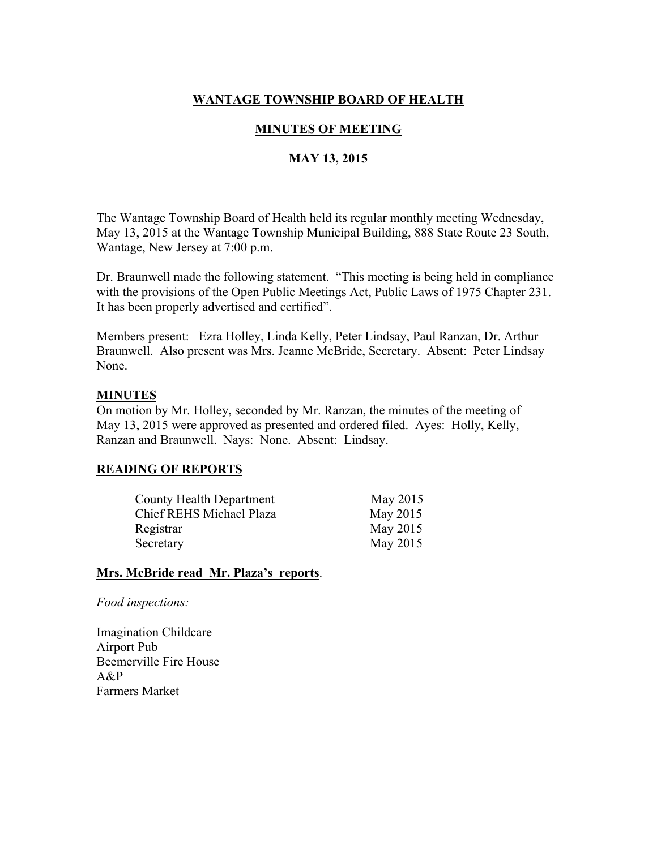## WANTAGE TOWNSHIP BOARD OF HEALTH

## MINUTES OF MEETING

## MAY 13, 2015

The Wantage Township Board of Health held its regular monthly meeting Wednesday, May 13, 2015 at the Wantage Township Municipal Building, 888 State Route 23 South, Wantage, New Jersey at 7:00 p.m.

Dr. Braunwell made the following statement. "This meeting is being held in compliance with the provisions of the Open Public Meetings Act, Public Laws of 1975 Chapter 231. It has been properly advertised and certified".

Members present: Ezra Holley, Linda Kelly, Peter Lindsay, Paul Ranzan, Dr. Arthur Braunwell. Also present was Mrs. Jeanne McBride, Secretary. Absent: Peter Lindsay None.

#### MINUTES

On motion by Mr. Holley, seconded by Mr. Ranzan, the minutes of the meeting of May 13, 2015 were approved as presented and ordered filed. Ayes: Holly, Kelly, Ranzan and Braunwell. Nays: None. Absent: Lindsay.

#### READING OF REPORTS

| County Health Department | May 2015 |
|--------------------------|----------|
| Chief REHS Michael Plaza | May 2015 |
| Registrar                | May 2015 |
| Secretary                | May 2015 |

#### Mrs. McBride read Mr. Plaza's reports.

*Food inspections:*

Imagination Childcare Airport Pub Beemerville Fire House A&P Farmers Market